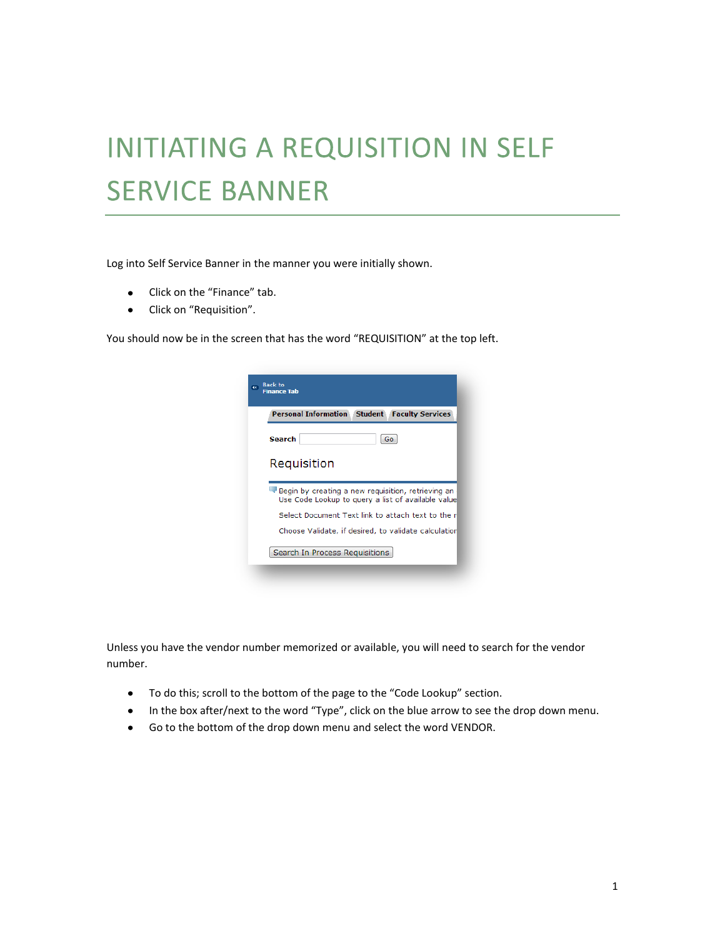## **INITIATING A REQUISITION IN SELF SERVICE BANNER**

Log into Self Service Banner in the manner you were initially shown.

- Click on the "Finance" tab.
- Click on "Requisition".

You should now be in the screen that has the word "REQUISITION" at the top left.

| <b>Personal Information</b> | <b>Student</b><br><b>Faculty Services</b>                                                                                                                     |
|-----------------------------|---------------------------------------------------------------------------------------------------------------------------------------------------------------|
| <b>Search</b>               | Go                                                                                                                                                            |
|                             |                                                                                                                                                               |
|                             |                                                                                                                                                               |
| Requisition                 |                                                                                                                                                               |
|                             |                                                                                                                                                               |
|                             | Begin by creating a new requisition, retrieving an<br>Use Code Lookup to query a list of available value<br>Select Document Text link to attach text to the r |

Unless you have the vendor number memorized or available, you will need to search for the vendor number.

- To do this; scroll to the bottom of the page to the "Code Lookup" section.
- In the box after/next to the word "Type", click on the blue arrow to see the drop down menu.
- Go to the bottom of the drop down menu and select the word VENDOR.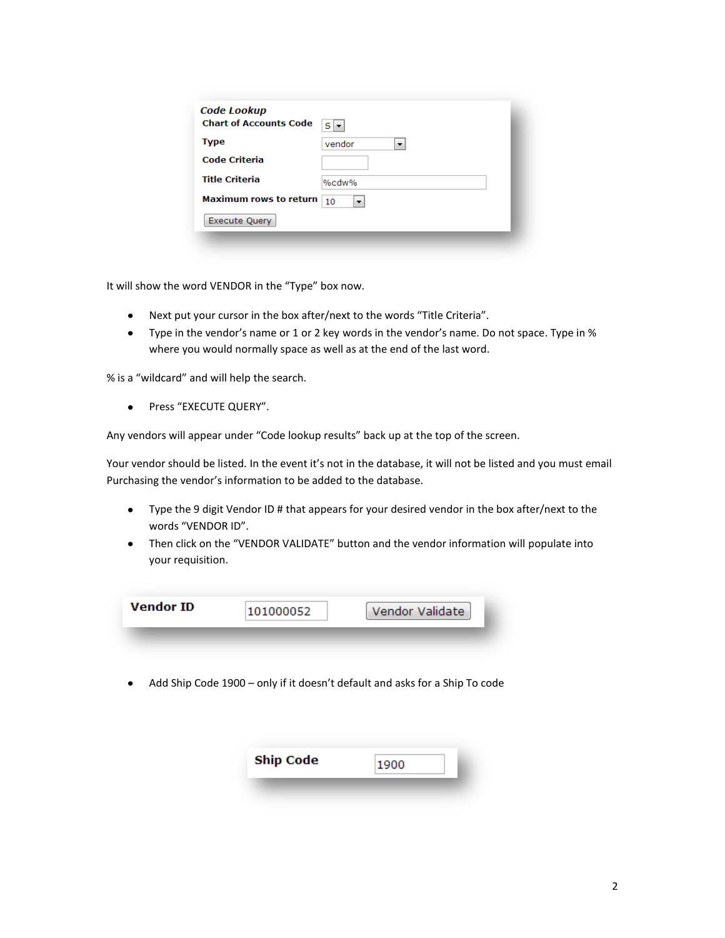| <b>Code Lookup</b><br><b>Chart of Accounts Code</b> | $S \rightarrow$ |
|-----------------------------------------------------|-----------------|
| <b>Type</b>                                         | vendor          |
| Code Criteria                                       |                 |
| <b>Title Criteria</b>                               | %cdw%           |
| <b>Maximum rows to return</b>                       | 10<br>▼         |
| <b>Execute Query</b>                                |                 |
|                                                     |                 |

It will show the word VENDOR in the "Type" box now.

- Next put your cursor in the box after/next to the words "Title Criteria".
- Type in the vendor's name or 1 or 2 key words in the vendor's name. Do not space. Type in % where you would normally space as well as at the end of the last word.

% is a "wildcard" and will help the search.

Press "EXECUTE QUERY".  $\bullet$ 

Any vendors will appear under "Code lookup results" back up at the top of the screen.

Your vendor should be listed. In the event it's not in the database, it will not be listed and you must email Purchasing the vendor's information to be added to the database.

- Type the 9 digit Vendor ID # that appears for your desired vendor in the box after/next to the  $\bullet$ words "VENDOR ID".
- Then click on the "VENDOR VALIDATE" button and the vendor information will populate into your requisition.

| <b>Vendor ID</b> | ٬1000052 | Vendor Validate |
|------------------|----------|-----------------|
|                  |          |                 |

Add Ship Code 1900 – only if it doesn't default and asks for a Ship To code

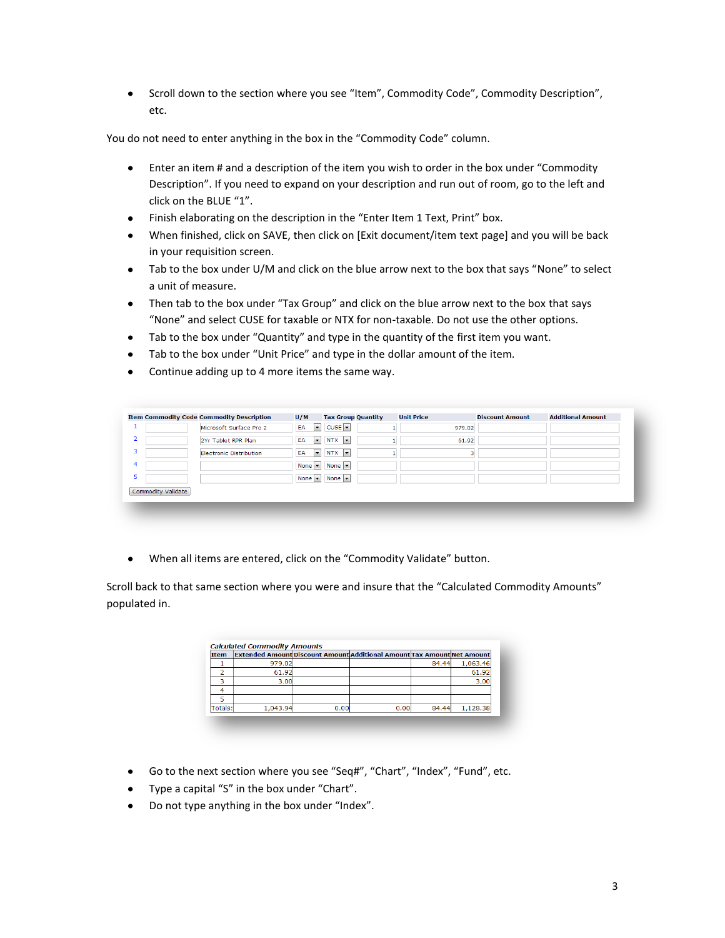Scroll down to the section where you see "Item", Commodity Code", Commodity Description", etc.

You do not need to enter anything in the box in the "Commodity Code" column.

- Enter an item # and a description of the item you wish to order in the box under "Commodity Description". If you need to expand on your description and run out of room, go to the left and click on the BLUE "1".
- Finish elaborating on the description in the "Enter Item 1 Text, Print" box.
- When finished, click on SAVE, then click on [Exit document/item text page] and you will be back in your requisition screen.
- Tab to the box under U/M and click on the blue arrow next to the box that says "None" to select a unit of measure.
- Then tab to the box under "Tax Group" and click on the blue arrow next to the box that says "None" and select CUSE for taxable or NTX for non-taxable. Do not use the other options.
- Tab to the box under "Quantity" and type in the quantity of the first item you want.
- Tab to the box under "Unit Price" and type in the dollar amount of the item.
- Continue adding up to 4 more items the same way.

| 2<br>$\bullet$ NTX $\bullet$<br>EA<br>2Yr Tablet RPR Plan<br>61.92<br>3<br>$\bullet$ NTX $\bullet$<br>EA<br><b>Electronic Distribution</b> |  |  | $CUSE$ $\rightarrow$ | $\vert \cdot \vert$<br>EA | Microsoft Surface Pro 2 |  |
|--------------------------------------------------------------------------------------------------------------------------------------------|--|--|----------------------|---------------------------|-------------------------|--|
| 4                                                                                                                                          |  |  |                      |                           |                         |  |
|                                                                                                                                            |  |  |                      |                           |                         |  |
| None $\blacktriangledown$ None $\blacktriangledown$                                                                                        |  |  |                      |                           |                         |  |
| None $\bullet$ None $\bullet$<br>ь                                                                                                         |  |  |                      |                           |                         |  |

When all items are entered, click on the "Commodity Validate" button.

Scroll back to that same section where you were and insure that the "Calculated Commodity Amounts" populated in.

| <b>Item</b> |          |      | Extended Amount Discount Amount Additional Amount Tax Amount Net Amount |       |          |
|-------------|----------|------|-------------------------------------------------------------------------|-------|----------|
|             | 979.02   |      |                                                                         | 84.44 | 1,063.46 |
|             | 61.92    |      |                                                                         |       | 61.92    |
| Ð           | 3.00     |      |                                                                         |       | 3.00     |
|             |          |      |                                                                         |       |          |
|             |          |      |                                                                         |       |          |
| Totals:     | 1.043.94 | 0.00 | 0.00                                                                    | 84.44 | 1,128.38 |

- Go to the next section where you see "Seq#", "Chart", "Index", "Fund", etc.
- Type a capital "S" in the box under "Chart".
- Do not type anything in the box under "Index".